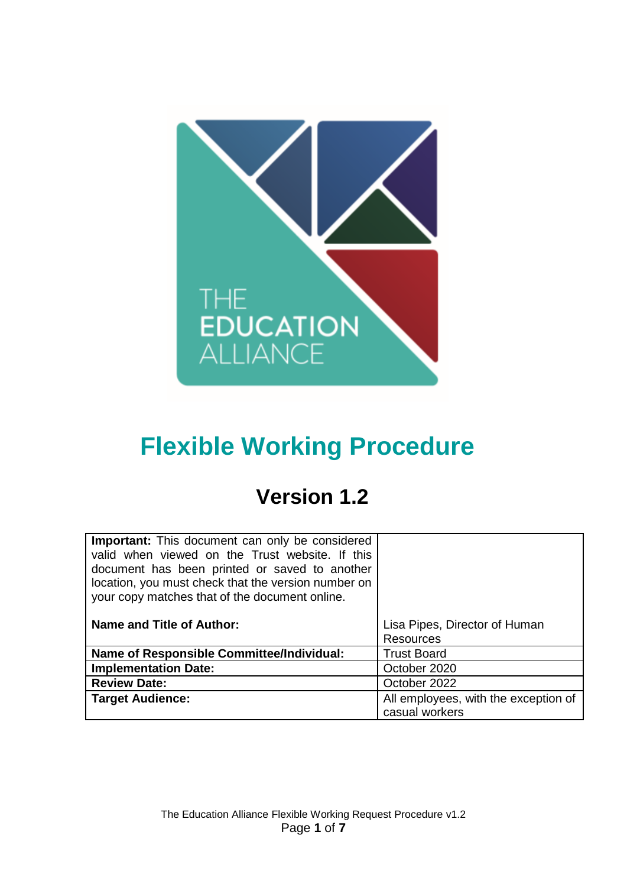

# **Flexible Working Procedure**

## **Version 1.2**

| <b>Important:</b> This document can only be considered<br>valid when viewed on the Trust website. If this<br>document has been printed or saved to another<br>location, you must check that the version number on<br>your copy matches that of the document online. |                                                        |
|---------------------------------------------------------------------------------------------------------------------------------------------------------------------------------------------------------------------------------------------------------------------|--------------------------------------------------------|
| Name and Title of Author:                                                                                                                                                                                                                                           | Lisa Pipes, Director of Human                          |
|                                                                                                                                                                                                                                                                     | <b>Resources</b>                                       |
| <b>Name of Responsible Committee/Individual:</b>                                                                                                                                                                                                                    | <b>Trust Board</b>                                     |
| <b>Implementation Date:</b>                                                                                                                                                                                                                                         | October 2020                                           |
| <b>Review Date:</b>                                                                                                                                                                                                                                                 | October 2022                                           |
| <b>Target Audience:</b>                                                                                                                                                                                                                                             | All employees, with the exception of<br>casual workers |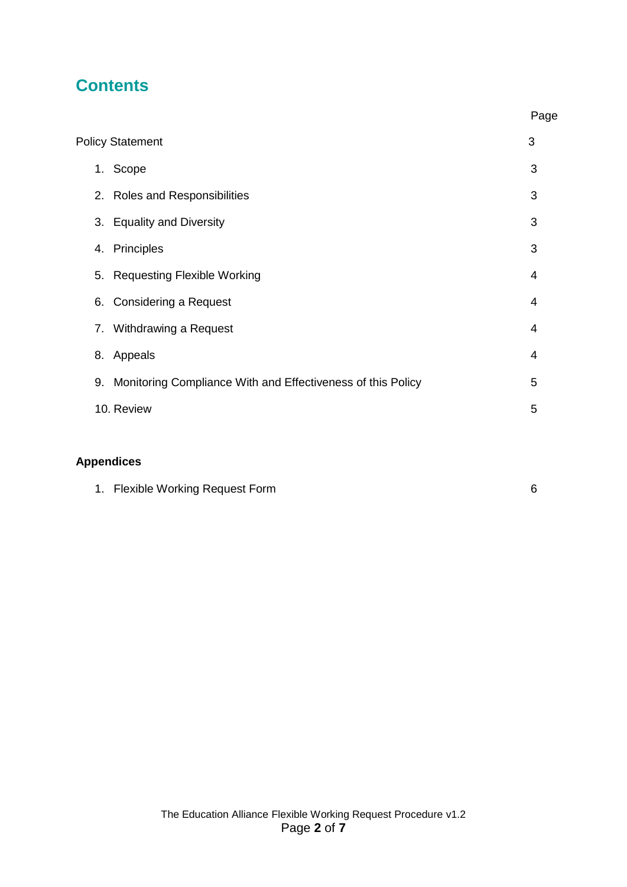## **Contents**

|                         |    |                                                             | Page |
|-------------------------|----|-------------------------------------------------------------|------|
| <b>Policy Statement</b> |    |                                                             | 3    |
|                         |    | 1. Scope                                                    | 3    |
|                         |    | 2. Roles and Responsibilities                               | 3    |
|                         | 3. | <b>Equality and Diversity</b>                               | 3    |
|                         | 4. | Principles                                                  | 3    |
|                         | 5. | <b>Requesting Flexible Working</b>                          | 4    |
|                         | 6. | <b>Considering a Request</b>                                | 4    |
|                         |    | 7. Withdrawing a Request                                    | 4    |
|                         | 8. | Appeals                                                     | 4    |
|                         | 9. | Monitoring Compliance With and Effectiveness of this Policy | 5    |
|                         |    | 10. Review                                                  | 5    |
|                         |    |                                                             |      |

### **Appendices**

|  | 1. Flexible Working Request Form |  |
|--|----------------------------------|--|
|--|----------------------------------|--|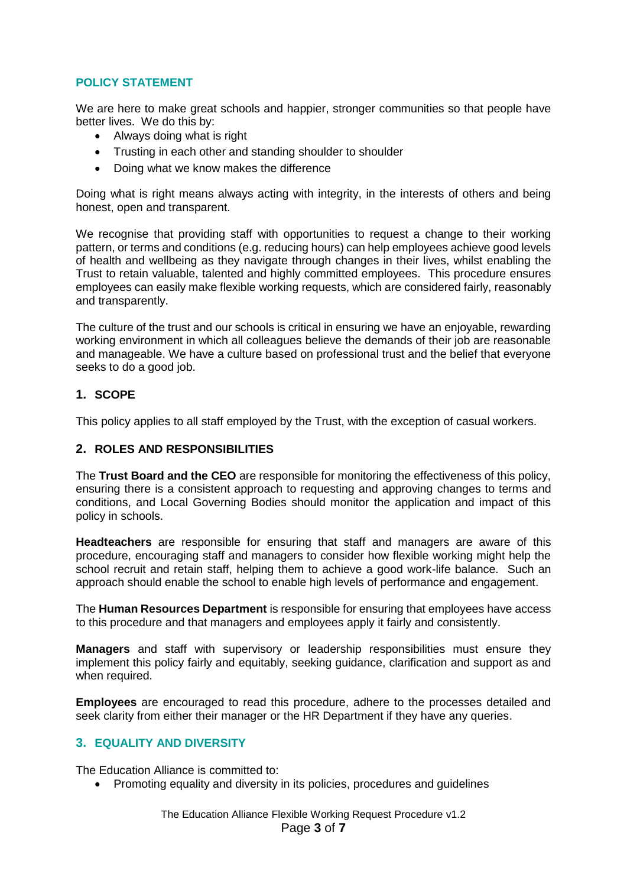#### **POLICY STATEMENT**

We are here to make great schools and happier, stronger communities so that people have better lives. We do this by:

- Always doing what is right
- Trusting in each other and standing shoulder to shoulder
- Doing what we know makes the difference

Doing what is right means always acting with integrity, in the interests of others and being honest, open and transparent.

We recognise that providing staff with opportunities to request a change to their working pattern, or terms and conditions (e.g. reducing hours) can help employees achieve good levels of health and wellbeing as they navigate through changes in their lives, whilst enabling the Trust to retain valuable, talented and highly committed employees. This procedure ensures employees can easily make flexible working requests, which are considered fairly, reasonably and transparently.

The culture of the trust and our schools is critical in ensuring we have an enjoyable, rewarding working environment in which all colleagues believe the demands of their job are reasonable and manageable. We have a culture based on professional trust and the belief that everyone seeks to do a good job.

#### **1. SCOPE**

This policy applies to all staff employed by the Trust, with the exception of casual workers.

#### **2. ROLES AND RESPONSIBILITIES**

The **Trust Board and the CEO** are responsible for monitoring the effectiveness of this policy, ensuring there is a consistent approach to requesting and approving changes to terms and conditions, and Local Governing Bodies should monitor the application and impact of this policy in schools.

**Headteachers** are responsible for ensuring that staff and managers are aware of this procedure, encouraging staff and managers to consider how flexible working might help the school recruit and retain staff, helping them to achieve a good work-life balance. Such an approach should enable the school to enable high levels of performance and engagement.

The **Human Resources Department** is responsible for ensuring that employees have access to this procedure and that managers and employees apply it fairly and consistently.

**Managers** and staff with supervisory or leadership responsibilities must ensure they implement this policy fairly and equitably, seeking guidance, clarification and support as and when required.

**Employees** are encouraged to read this procedure, adhere to the processes detailed and seek clarity from either their manager or the HR Department if they have any queries.

#### **3. EQUALITY AND DIVERSITY**

The Education Alliance is committed to:

• Promoting equality and diversity in its policies, procedures and guidelines

The Education Alliance Flexible Working Request Procedure v1.2 Page **3** of **7**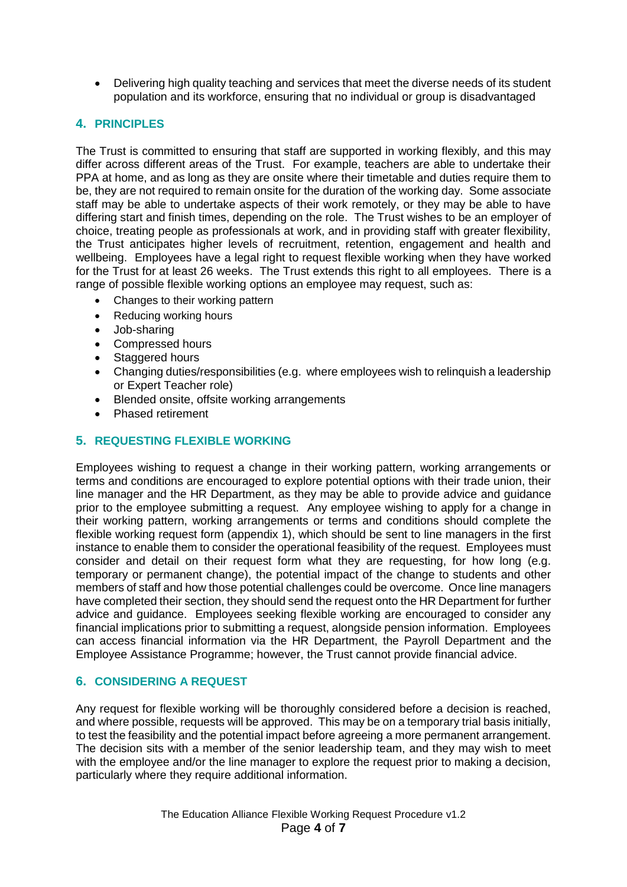Delivering high quality teaching and services that meet the diverse needs of its student population and its workforce, ensuring that no individual or group is disadvantaged

#### **4. PRINCIPLES**

The Trust is committed to ensuring that staff are supported in working flexibly, and this may differ across different areas of the Trust. For example, teachers are able to undertake their PPA at home, and as long as they are onsite where their timetable and duties require them to be, they are not required to remain onsite for the duration of the working day. Some associate staff may be able to undertake aspects of their work remotely, or they may be able to have differing start and finish times, depending on the role. The Trust wishes to be an employer of choice, treating people as professionals at work, and in providing staff with greater flexibility, the Trust anticipates higher levels of recruitment, retention, engagement and health and wellbeing. Employees have a legal right to request flexible working when they have worked for the Trust for at least 26 weeks. The Trust extends this right to all employees. There is a range of possible flexible working options an employee may request, such as:

- Changes to their working pattern
- Reducing working hours
- Job-sharing
- Compressed hours
- Staggered hours
- Changing duties/responsibilities (e.g. where employees wish to relinquish a leadership or Expert Teacher role)
- Blended onsite, offsite working arrangements
- Phased retirement

#### **5. REQUESTING FLEXIBLE WORKING**

Employees wishing to request a change in their working pattern, working arrangements or terms and conditions are encouraged to explore potential options with their trade union, their line manager and the HR Department, as they may be able to provide advice and guidance prior to the employee submitting a request. Any employee wishing to apply for a change in their working pattern, working arrangements or terms and conditions should complete the flexible working request form (appendix 1), which should be sent to line managers in the first instance to enable them to consider the operational feasibility of the request. Employees must consider and detail on their request form what they are requesting, for how long (e.g. temporary or permanent change), the potential impact of the change to students and other members of staff and how those potential challenges could be overcome. Once line managers have completed their section, they should send the request onto the HR Department for further advice and guidance. Employees seeking flexible working are encouraged to consider any financial implications prior to submitting a request, alongside pension information. Employees can access financial information via the HR Department, the Payroll Department and the Employee Assistance Programme; however, the Trust cannot provide financial advice.

#### **6. CONSIDERING A REQUEST**

Any request for flexible working will be thoroughly considered before a decision is reached, and where possible, requests will be approved. This may be on a temporary trial basis initially, to test the feasibility and the potential impact before agreeing a more permanent arrangement. The decision sits with a member of the senior leadership team, and they may wish to meet with the employee and/or the line manager to explore the request prior to making a decision, particularly where they require additional information.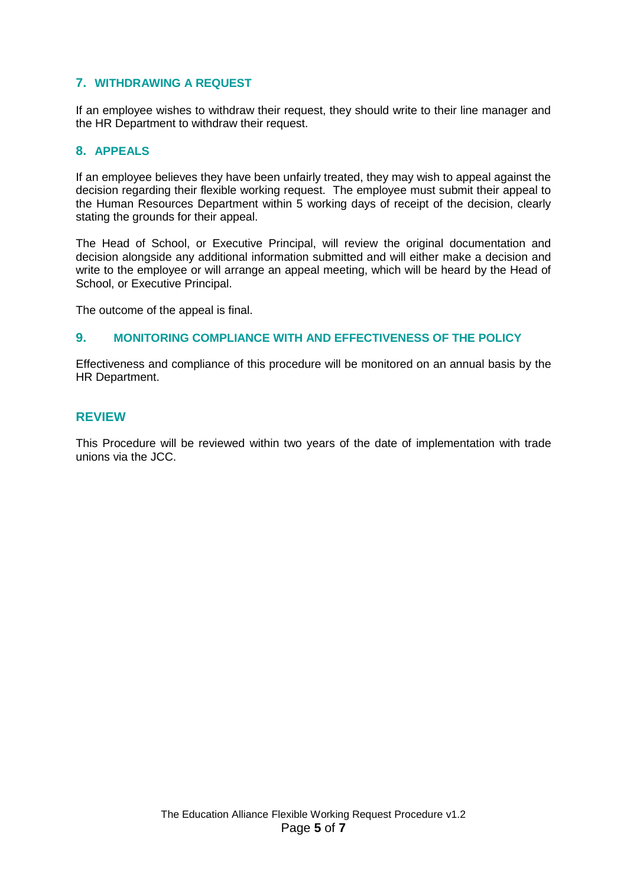#### **7. WITHDRAWING A REQUEST**

If an employee wishes to withdraw their request, they should write to their line manager and the HR Department to withdraw their request.

#### **8. APPEALS**

If an employee believes they have been unfairly treated, they may wish to appeal against the decision regarding their flexible working request. The employee must submit their appeal to the Human Resources Department within 5 working days of receipt of the decision, clearly stating the grounds for their appeal.

The Head of School, or Executive Principal, will review the original documentation and decision alongside any additional information submitted and will either make a decision and write to the employee or will arrange an appeal meeting, which will be heard by the Head of School, or Executive Principal.

The outcome of the appeal is final.

#### **9. MONITORING COMPLIANCE WITH AND EFFECTIVENESS OF THE POLICY**

Effectiveness and compliance of this procedure will be monitored on an annual basis by the HR Department.

#### **REVIEW**

This Procedure will be reviewed within two years of the date of implementation with trade unions via the JCC.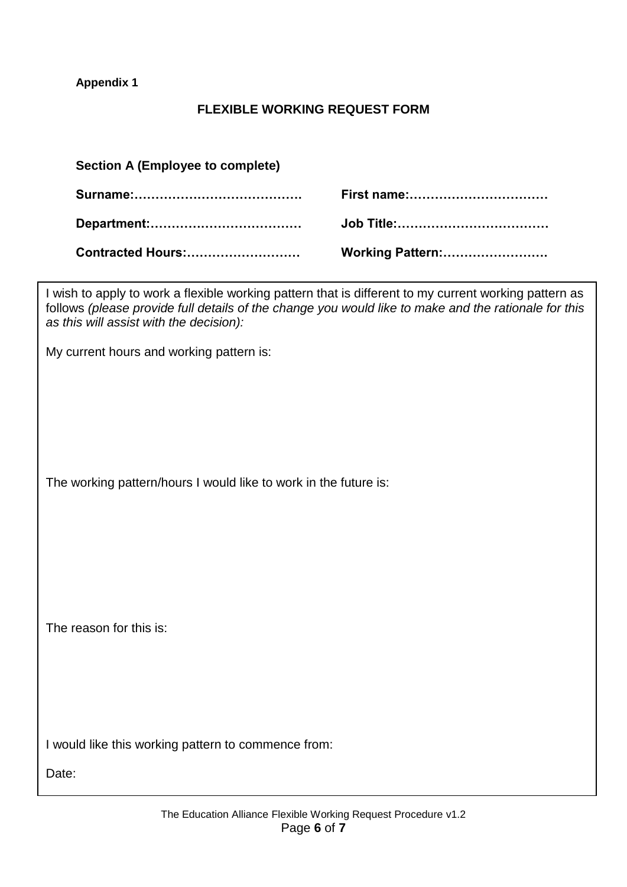**Appendix 1**

#### **FLEXIBLE WORKING REQUEST FORM**

| Section A (Employee to complete) |                    |  |  |  |
|----------------------------------|--------------------|--|--|--|
|                                  | <b>First name:</b> |  |  |  |
|                                  |                    |  |  |  |
|                                  | Working Pattern:   |  |  |  |

I wish to apply to work a flexible working pattern that is different to my current working pattern as follows *(please provide full details of the change you would like to make and the rationale for this as this will assist with the decision):*

My current hours and working pattern is:

The working pattern/hours I would like to work in the future is:

The reason for this is:

I would like this working pattern to commence from:

Date: